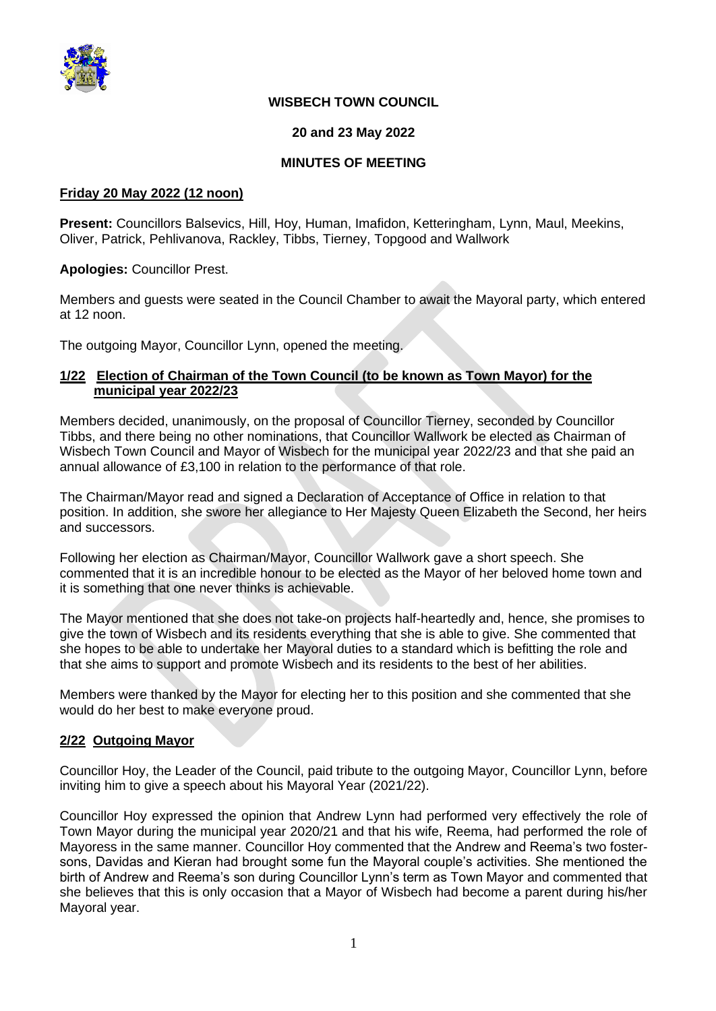

## **WISBECH TOWN COUNCIL**

## **20 and 23 May 2022**

## **MINUTES OF MEETING**

#### **Friday 20 May 2022 (12 noon)**

**Present:** Councillors Balsevics, Hill, Hoy, Human, Imafidon, Ketteringham, Lynn, Maul, Meekins, Oliver, Patrick, Pehlivanova, Rackley, Tibbs, Tierney, Topgood and Wallwork

**Apologies:** Councillor Prest.

Members and guests were seated in the Council Chamber to await the Mayoral party, which entered at 12 noon.

The outgoing Mayor, Councillor Lynn, opened the meeting.

## **1/22 Election of Chairman of the Town Council (to be known as Town Mayor) for the municipal year 2022/23**

Members decided, unanimously, on the proposal of Councillor Tierney, seconded by Councillor Tibbs, and there being no other nominations, that Councillor Wallwork be elected as Chairman of Wisbech Town Council and Mayor of Wisbech for the municipal year 2022/23 and that she paid an annual allowance of £3,100 in relation to the performance of that role.

The Chairman/Mayor read and signed a Declaration of Acceptance of Office in relation to that position. In addition, she swore her allegiance to Her Majesty Queen Elizabeth the Second, her heirs and successors.

Following her election as Chairman/Mayor, Councillor Wallwork gave a short speech. She commented that it is an incredible honour to be elected as the Mayor of her beloved home town and it is something that one never thinks is achievable.

The Mayor mentioned that she does not take-on projects half-heartedly and, hence, she promises to give the town of Wisbech and its residents everything that she is able to give. She commented that she hopes to be able to undertake her Mayoral duties to a standard which is befitting the role and that she aims to support and promote Wisbech and its residents to the best of her abilities.

Members were thanked by the Mayor for electing her to this position and she commented that she would do her best to make everyone proud.

## **2/22 Outgoing Mayor**

Councillor Hoy, the Leader of the Council, paid tribute to the outgoing Mayor, Councillor Lynn, before inviting him to give a speech about his Mayoral Year (2021/22).

Councillor Hoy expressed the opinion that Andrew Lynn had performed very effectively the role of Town Mayor during the municipal year 2020/21 and that his wife, Reema, had performed the role of Mayoress in the same manner. Councillor Hoy commented that the Andrew and Reema's two fostersons, Davidas and Kieran had brought some fun the Mayoral couple's activities. She mentioned the birth of Andrew and Reema's son during Councillor Lynn's term as Town Mayor and commented that she believes that this is only occasion that a Mayor of Wisbech had become a parent during his/her Mayoral year.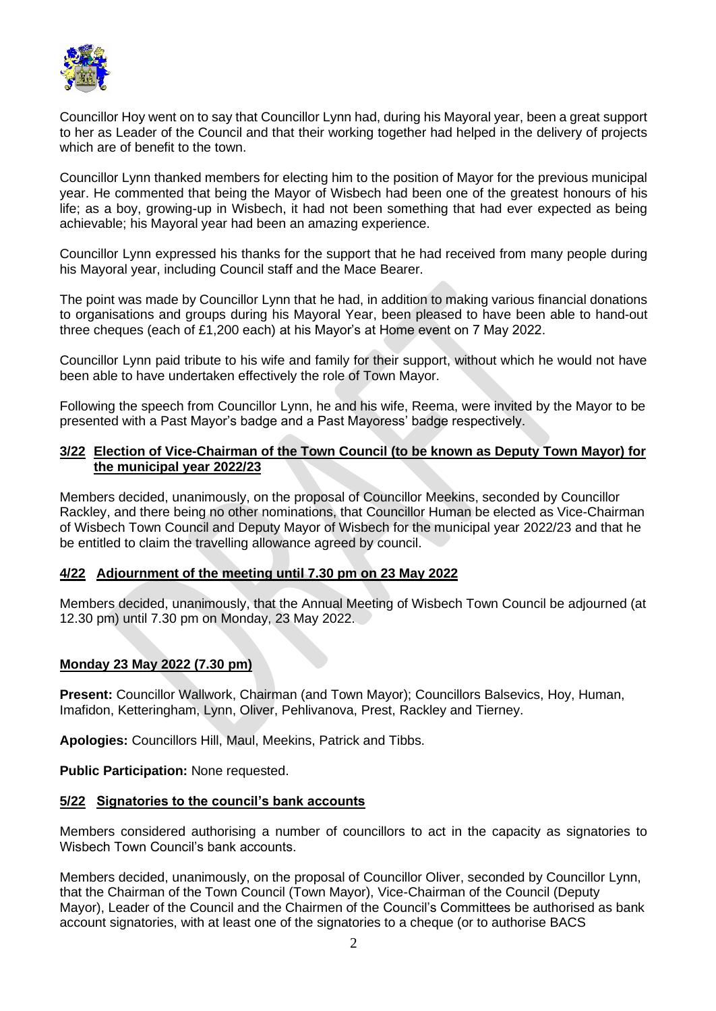

Councillor Hoy went on to say that Councillor Lynn had, during his Mayoral year, been a great support to her as Leader of the Council and that their working together had helped in the delivery of projects which are of benefit to the town.

Councillor Lynn thanked members for electing him to the position of Mayor for the previous municipal year. He commented that being the Mayor of Wisbech had been one of the greatest honours of his life; as a boy, growing-up in Wisbech, it had not been something that had ever expected as being achievable; his Mayoral year had been an amazing experience.

Councillor Lynn expressed his thanks for the support that he had received from many people during his Mayoral year, including Council staff and the Mace Bearer.

The point was made by Councillor Lynn that he had, in addition to making various financial donations to organisations and groups during his Mayoral Year, been pleased to have been able to hand-out three cheques (each of £1,200 each) at his Mayor's at Home event on 7 May 2022.

Councillor Lynn paid tribute to his wife and family for their support, without which he would not have been able to have undertaken effectively the role of Town Mayor.

Following the speech from Councillor Lynn, he and his wife, Reema, were invited by the Mayor to be presented with a Past Mayor's badge and a Past Mayoress' badge respectively.

## **3/22 Election of Vice-Chairman of the Town Council (to be known as Deputy Town Mayor) for the municipal year 2022/23**

Members decided, unanimously, on the proposal of Councillor Meekins, seconded by Councillor Rackley, and there being no other nominations, that Councillor Human be elected as Vice-Chairman of Wisbech Town Council and Deputy Mayor of Wisbech for the municipal year 2022/23 and that he be entitled to claim the travelling allowance agreed by council.

## **4/22 Adjournment of the meeting until 7.30 pm on 23 May 2022**

Members decided, unanimously, that the Annual Meeting of Wisbech Town Council be adjourned (at 12.30 pm) until 7.30 pm on Monday, 23 May 2022.

## **Monday 23 May 2022 (7.30 pm)**

**Present:** Councillor Wallwork, Chairman (and Town Mayor); Councillors Balsevics, Hoy, Human, Imafidon, Ketteringham, Lynn, Oliver, Pehlivanova, Prest, Rackley and Tierney.

**Apologies:** Councillors Hill, Maul, Meekins, Patrick and Tibbs.

**Public Participation:** None requested.

#### **5/22 Signatories to the council's bank accounts**

Members considered authorising a number of councillors to act in the capacity as signatories to Wisbech Town Council's bank accounts.

Members decided, unanimously, on the proposal of Councillor Oliver, seconded by Councillor Lynn, that the Chairman of the Town Council (Town Mayor), Vice-Chairman of the Council (Deputy Mayor), Leader of the Council and the Chairmen of the Council's Committees be authorised as bank account signatories, with at least one of the signatories to a cheque (or to authorise BACS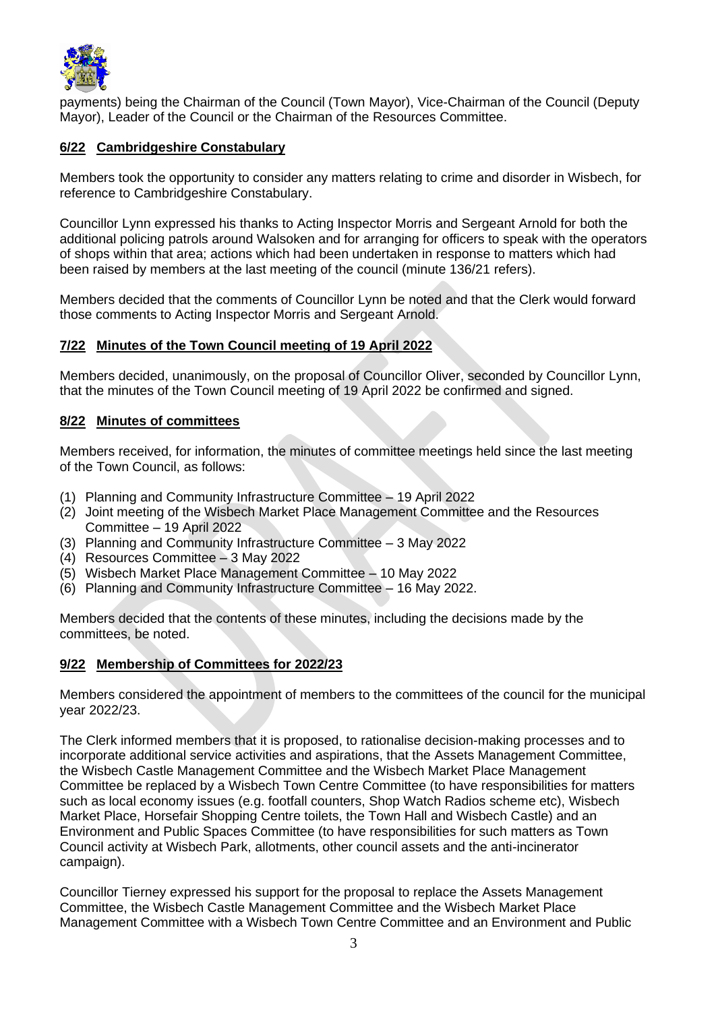

payments) being the Chairman of the Council (Town Mayor), Vice-Chairman of the Council (Deputy Mayor), Leader of the Council or the Chairman of the Resources Committee.

## **6/22 Cambridgeshire Constabulary**

Members took the opportunity to consider any matters relating to crime and disorder in Wisbech, for reference to Cambridgeshire Constabulary.

Councillor Lynn expressed his thanks to Acting Inspector Morris and Sergeant Arnold for both the additional policing patrols around Walsoken and for arranging for officers to speak with the operators of shops within that area; actions which had been undertaken in response to matters which had been raised by members at the last meeting of the council (minute 136/21 refers).

Members decided that the comments of Councillor Lynn be noted and that the Clerk would forward those comments to Acting Inspector Morris and Sergeant Arnold.

## **7/22 Minutes of the Town Council meeting of 19 April 2022**

Members decided, unanimously, on the proposal of Councillor Oliver, seconded by Councillor Lynn, that the minutes of the Town Council meeting of 19 April 2022 be confirmed and signed.

## **8/22 Minutes of committees**

Members received, for information, the minutes of committee meetings held since the last meeting of the Town Council, as follows:

- (1) Planning and Community Infrastructure Committee 19 April 2022
- (2) Joint meeting of the Wisbech Market Place Management Committee and the Resources Committee – 19 April 2022
- (3) Planning and Community Infrastructure Committee 3 May 2022
- (4) Resources Committee 3 May 2022
- (5) Wisbech Market Place Management Committee 10 May 2022
- (6) Planning and Community Infrastructure Committee 16 May 2022.

Members decided that the contents of these minutes, including the decisions made by the committees, be noted.

## **9/22 Membership of Committees for 2022/23**

Members considered the appointment of members to the committees of the council for the municipal year 2022/23.

The Clerk informed members that it is proposed, to rationalise decision-making processes and to incorporate additional service activities and aspirations, that the Assets Management Committee, the Wisbech Castle Management Committee and the Wisbech Market Place Management Committee be replaced by a Wisbech Town Centre Committee (to have responsibilities for matters such as local economy issues (e.g. footfall counters, Shop Watch Radios scheme etc), Wisbech Market Place, Horsefair Shopping Centre toilets, the Town Hall and Wisbech Castle) and an Environment and Public Spaces Committee (to have responsibilities for such matters as Town Council activity at Wisbech Park, allotments, other council assets and the anti-incinerator campaign).

Councillor Tierney expressed his support for the proposal to replace the Assets Management Committee, the Wisbech Castle Management Committee and the Wisbech Market Place Management Committee with a Wisbech Town Centre Committee and an Environment and Public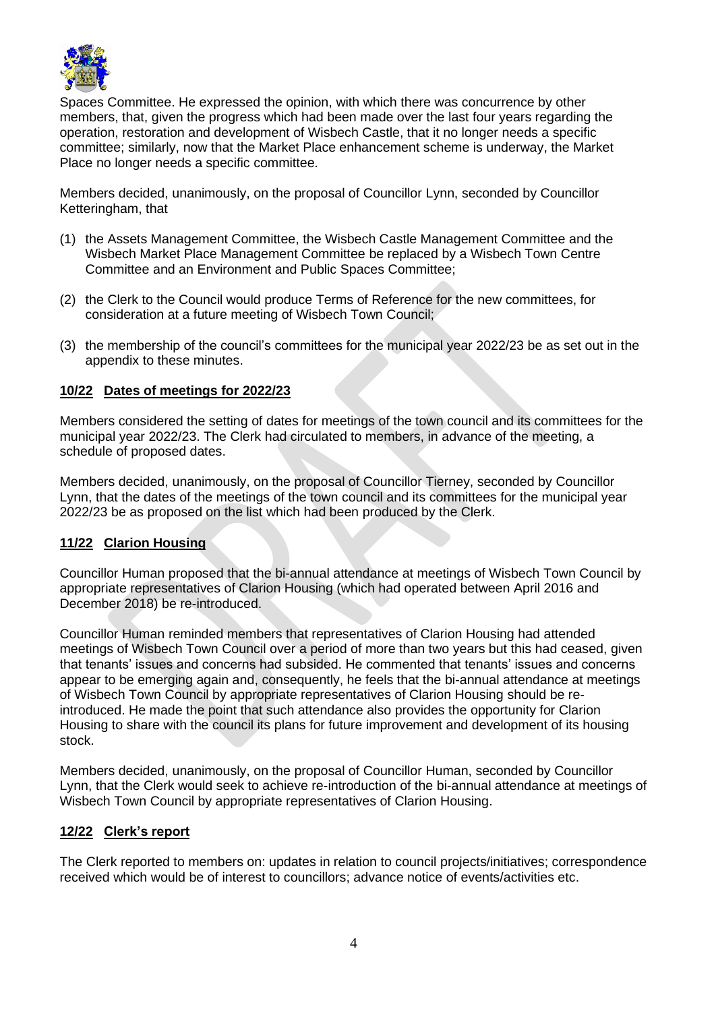

Spaces Committee. He expressed the opinion, with which there was concurrence by other members, that, given the progress which had been made over the last four years regarding the operation, restoration and development of Wisbech Castle, that it no longer needs a specific committee; similarly, now that the Market Place enhancement scheme is underway, the Market Place no longer needs a specific committee.

Members decided, unanimously, on the proposal of Councillor Lynn, seconded by Councillor Ketteringham, that

- (1) the Assets Management Committee, the Wisbech Castle Management Committee and the Wisbech Market Place Management Committee be replaced by a Wisbech Town Centre Committee and an Environment and Public Spaces Committee;
- (2) the Clerk to the Council would produce Terms of Reference for the new committees, for consideration at a future meeting of Wisbech Town Council;
- (3) the membership of the council's committees for the municipal year 2022/23 be as set out in the appendix to these minutes.

## **10/22 Dates of meetings for 2022/23**

Members considered the setting of dates for meetings of the town council and its committees for the municipal year 2022/23. The Clerk had circulated to members, in advance of the meeting, a schedule of proposed dates.

Members decided, unanimously, on the proposal of Councillor Tierney, seconded by Councillor Lynn, that the dates of the meetings of the town council and its committees for the municipal year 2022/23 be as proposed on the list which had been produced by the Clerk.

## **11/22 Clarion Housing**

Councillor Human proposed that the bi-annual attendance at meetings of Wisbech Town Council by appropriate representatives of Clarion Housing (which had operated between April 2016 and December 2018) be re-introduced.

Councillor Human reminded members that representatives of Clarion Housing had attended meetings of Wisbech Town Council over a period of more than two years but this had ceased, given that tenants' issues and concerns had subsided. He commented that tenants' issues and concerns appear to be emerging again and, consequently, he feels that the bi-annual attendance at meetings of Wisbech Town Council by appropriate representatives of Clarion Housing should be reintroduced. He made the point that such attendance also provides the opportunity for Clarion Housing to share with the council its plans for future improvement and development of its housing stock.

Members decided, unanimously, on the proposal of Councillor Human, seconded by Councillor Lynn, that the Clerk would seek to achieve re-introduction of the bi-annual attendance at meetings of Wisbech Town Council by appropriate representatives of Clarion Housing.

## **12/22 Clerk's report**

The Clerk reported to members on: updates in relation to council projects/initiatives; correspondence received which would be of interest to councillors; advance notice of events/activities etc.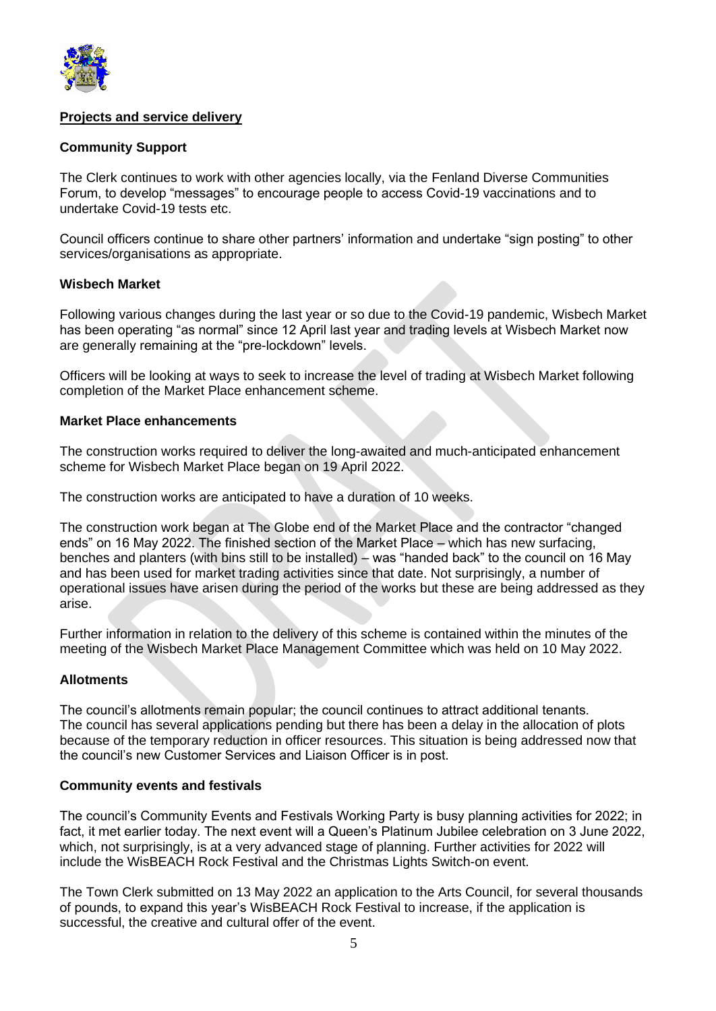

## **Projects and service delivery**

## **Community Support**

The Clerk continues to work with other agencies locally, via the Fenland Diverse Communities Forum, to develop "messages" to encourage people to access Covid-19 vaccinations and to undertake Covid-19 tests etc.

Council officers continue to share other partners' information and undertake "sign posting" to other services/organisations as appropriate.

## **Wisbech Market**

Following various changes during the last year or so due to the Covid-19 pandemic, Wisbech Market has been operating "as normal" since 12 April last year and trading levels at Wisbech Market now are generally remaining at the "pre-lockdown" levels.

Officers will be looking at ways to seek to increase the level of trading at Wisbech Market following completion of the Market Place enhancement scheme.

#### **Market Place enhancements**

The construction works required to deliver the long-awaited and much-anticipated enhancement scheme for Wisbech Market Place began on 19 April 2022.

The construction works are anticipated to have a duration of 10 weeks.

The construction work began at The Globe end of the Market Place and the contractor "changed ends" on 16 May 2022. The finished section of the Market Place – which has new surfacing, benches and planters (with bins still to be installed) – was "handed back" to the council on 16 May and has been used for market trading activities since that date. Not surprisingly, a number of operational issues have arisen during the period of the works but these are being addressed as they arise.

Further information in relation to the delivery of this scheme is contained within the minutes of the meeting of the Wisbech Market Place Management Committee which was held on 10 May 2022.

## **Allotments**

The council's allotments remain popular; the council continues to attract additional tenants. The council has several applications pending but there has been a delay in the allocation of plots because of the temporary reduction in officer resources. This situation is being addressed now that the council's new Customer Services and Liaison Officer is in post.

## **Community events and festivals**

The council's Community Events and Festivals Working Party is busy planning activities for 2022; in fact, it met earlier today. The next event will a Queen's Platinum Jubilee celebration on 3 June 2022, which, not surprisingly, is at a very advanced stage of planning. Further activities for 2022 will include the WisBEACH Rock Festival and the Christmas Lights Switch-on event.

The Town Clerk submitted on 13 May 2022 an application to the Arts Council, for several thousands of pounds, to expand this year's WisBEACH Rock Festival to increase, if the application is successful, the creative and cultural offer of the event.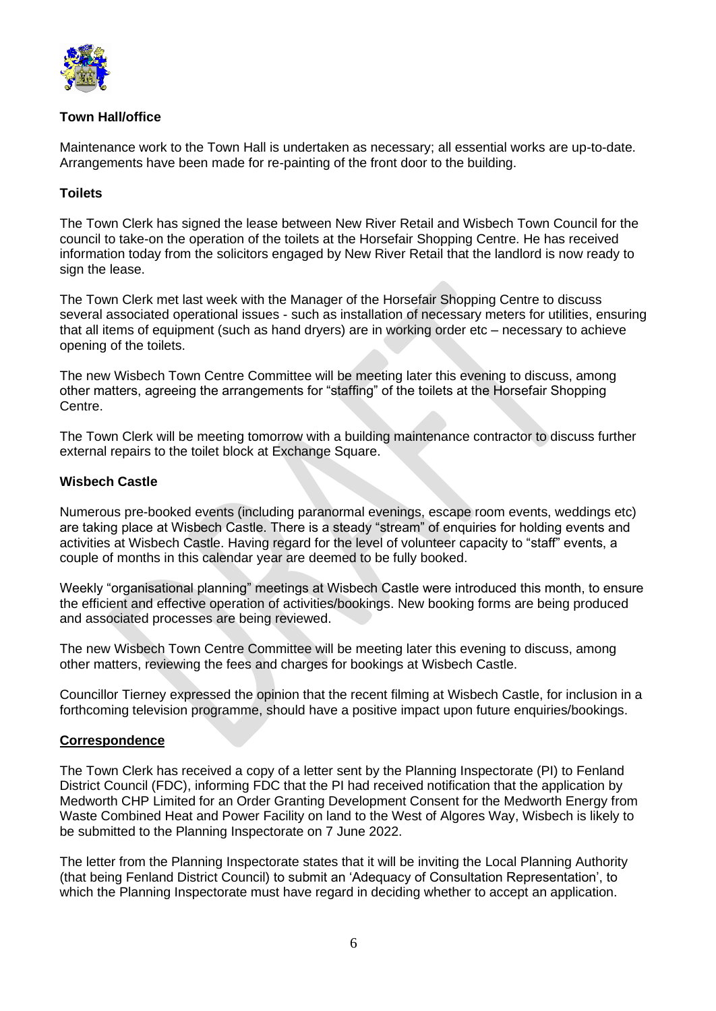

## **Town Hall/office**

Maintenance work to the Town Hall is undertaken as necessary; all essential works are up-to-date. Arrangements have been made for re-painting of the front door to the building.

## **Toilets**

The Town Clerk has signed the lease between New River Retail and Wisbech Town Council for the council to take-on the operation of the toilets at the Horsefair Shopping Centre. He has received information today from the solicitors engaged by New River Retail that the landlord is now ready to sign the lease.

The Town Clerk met last week with the Manager of the Horsefair Shopping Centre to discuss several associated operational issues - such as installation of necessary meters for utilities, ensuring that all items of equipment (such as hand dryers) are in working order etc – necessary to achieve opening of the toilets.

The new Wisbech Town Centre Committee will be meeting later this evening to discuss, among other matters, agreeing the arrangements for "staffing" of the toilets at the Horsefair Shopping Centre.

The Town Clerk will be meeting tomorrow with a building maintenance contractor to discuss further external repairs to the toilet block at Exchange Square.

## **Wisbech Castle**

Numerous pre-booked events (including paranormal evenings, escape room events, weddings etc) are taking place at Wisbech Castle. There is a steady "stream" of enquiries for holding events and activities at Wisbech Castle. Having regard for the level of volunteer capacity to "staff" events, a couple of months in this calendar year are deemed to be fully booked.

Weekly "organisational planning" meetings at Wisbech Castle were introduced this month, to ensure the efficient and effective operation of activities/bookings. New booking forms are being produced and associated processes are being reviewed.

The new Wisbech Town Centre Committee will be meeting later this evening to discuss, among other matters, reviewing the fees and charges for bookings at Wisbech Castle.

Councillor Tierney expressed the opinion that the recent filming at Wisbech Castle, for inclusion in a forthcoming television programme, should have a positive impact upon future enquiries/bookings.

## **Correspondence**

The Town Clerk has received a copy of a letter sent by the Planning Inspectorate (PI) to Fenland District Council (FDC), informing FDC that the PI had received notification that the application by Medworth CHP Limited for an Order Granting Development Consent for the Medworth Energy from Waste Combined Heat and Power Facility on land to the West of Algores Way, Wisbech is likely to be submitted to the Planning Inspectorate on 7 June 2022.

The letter from the Planning Inspectorate states that it will be inviting the Local Planning Authority (that being Fenland District Council) to submit an 'Adequacy of Consultation Representation', to which the Planning Inspectorate must have regard in deciding whether to accept an application.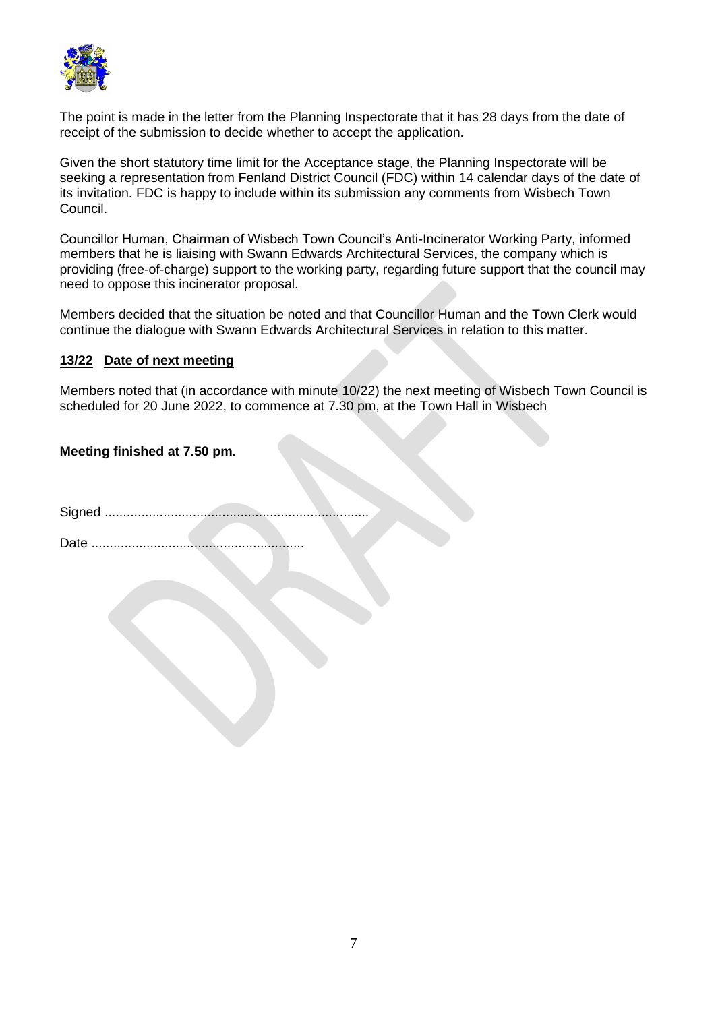

The point is made in the letter from the Planning Inspectorate that it has 28 days from the date of receipt of the submission to decide whether to accept the application.

Given the short statutory time limit for the Acceptance stage, the Planning Inspectorate will be seeking a representation from Fenland District Council (FDC) within 14 calendar days of the date of its invitation. FDC is happy to include within its submission any comments from Wisbech Town Council.

Councillor Human, Chairman of Wisbech Town Council's Anti-Incinerator Working Party, informed members that he is liaising with Swann Edwards Architectural Services, the company which is providing (free-of-charge) support to the working party, regarding future support that the council may need to oppose this incinerator proposal.

Members decided that the situation be noted and that Councillor Human and the Town Clerk would continue the dialogue with Swann Edwards Architectural Services in relation to this matter.

## **13/22 Date of next meeting**

Members noted that (in accordance with minute 10/22) the next meeting of Wisbech Town Council is scheduled for 20 June 2022, to commence at 7.30 pm, at the Town Hall in Wisbech

## **Meeting finished at 7.50 pm.**

Signed ........................................................................

Date ..........................................................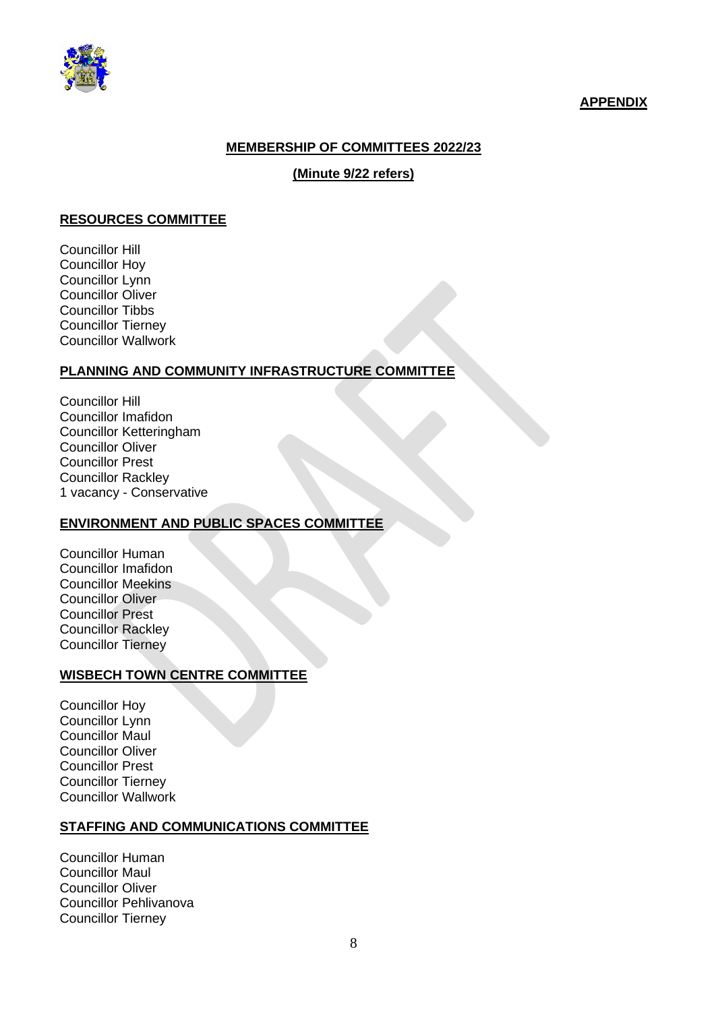

## **APPENDIX**

## **MEMBERSHIP OF COMMITTEES 2022/23**

## **(Minute 9/22 refers)**

#### **RESOURCES COMMITTEE**

Councillor Hill Councillor Hoy Councillor Lynn Councillor Oliver Councillor Tibbs Councillor Tierney Councillor Wallwork

#### **PLANNING AND COMMUNITY INFRASTRUCTURE COMMITTEE**

Councillor Hill Councillor Imafidon Councillor Ketteringham Councillor Oliver Councillor Prest Councillor Rackley 1 vacancy - Conservative

## **ENVIRONMENT AND PUBLIC SPACES COMMITTEE**

Councillor Human Councillor Imafidon Councillor Meekins Councillor Oliver Councillor Prest Councillor Rackley Councillor Tierney

## **WISBECH TOWN CENTRE COMMITTEE**

Councillor Hoy Councillor Lynn Councillor Maul Councillor Oliver Councillor Prest Councillor Tierney Councillor Wallwork

### **STAFFING AND COMMUNICATIONS COMMITTEE**

Councillor Human Councillor Maul Councillor Oliver Councillor Pehlivanova Councillor Tierney